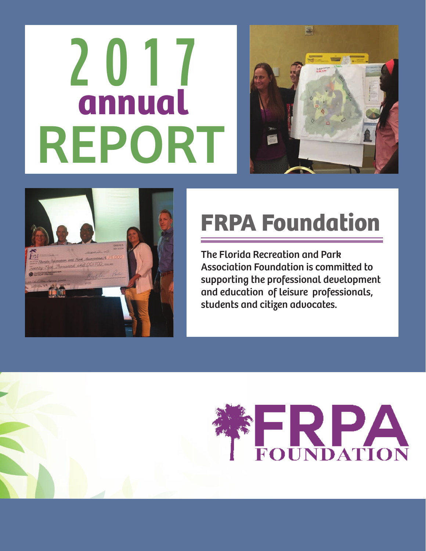# **2017** REPORT **annual**





# **FRPA Foundation**

The Florida Recreation and Park Association Foundation is committed to supporting the professional development and education of leisure professionals, students and citizen advocates.

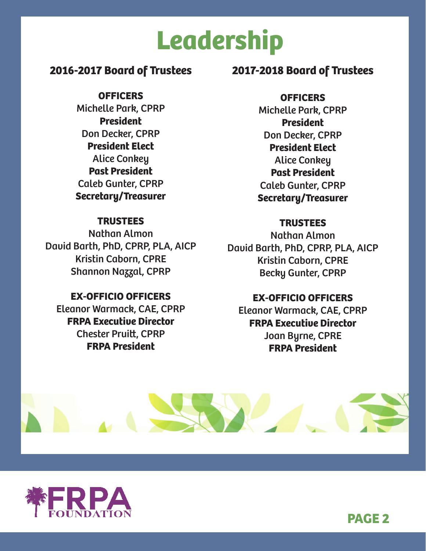# **Leadership**

### **2016-2017 Board of Trustees**

**OFFICERS** Michelle Park, CPRP **President** Don Decker, CPRP **President Elect** Alice Conkey **Past President** Caleb Gunter, CPRP **Secretary/Treasurer**

#### **TRUSTEES**

Nathan Almon David Barth, PhD, CPRP, PLA, AICP Kristin Caborn, CPRE Shannon Nazzal, CPRP

#### **EX-OFFICIO OFFICERS**

Eleanor Warmack, CAE, CPRP **FRPA Executive Director** Chester Pruitt, CPRP **FRPA President**

### **2017-2018 Board of Trustees**

**OFFICERS**

Michelle Park, CPRP **President** Don Decker, CPRP **President Elect** Alice Conkey **Past President** Caleb Gunter, CPRP **Secretary/Treasurer**

### **TRUSTEES**

Nathan Almon David Barth, PhD, CPRP, PLA, AICP Kristin Caborn, CPRE Becky Gunter, CPRP

#### **EX-OFFICIO OFFICERS**

Eleanor Warmack, CAE, CPRP **FRPA Executive Director** Joan Byrne, CPRE **FRPA President**





**PAGE 2**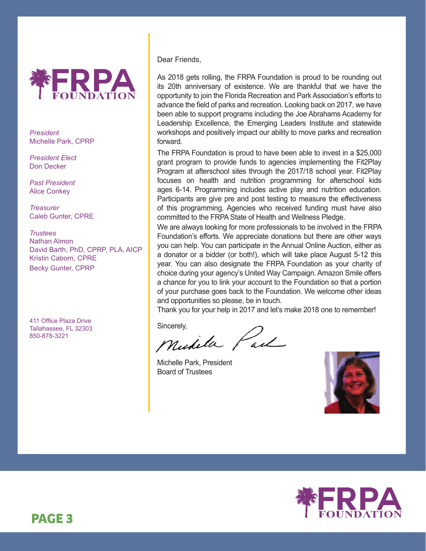

*President* Michelle Park, CPRP

*President Elect* Don Decker

*Past President* Alice Conkey

*Treasurer* Caleb Gunter, CPRE

*Trustees* Nathan Almon David Barth, PhD, CPRP, PLA, AICP Kristin Caborn, CPRE Becky Gunter, CPRP

411 Office Plaza Drive Tallahassee, FL 32303 850-878-3221

Dear Friends,

As 2018 gets rolling, the FRPA Foundation is proud to be rounding out its 20th anniversary of existence. We are thankful that we have the opportunity to join the Florida Recreation and Park Association's efforts to advance the field of parks and recreation. Looking back on 2017, we have been able to support programs including the Joe Abrahams Academy for Leadership Excellence, the Emerging Leaders Institute and statewide workshops and positively impact our ability to move parks and recreation forward.

The FRPA Foundation is proud to have been able to invest in a \$25,000 grant program to provide funds to agencies implementing the Fit2Play Program at afterschool sites through the 2017/18 school year. Fit2Play focuses on health and nutrition programming for afterschool kids ages 6-14. Programming includes active play and nutrition education. Participants are give pre and post testing to measure the effectiveness of this programming. Agencies who received funding must have also committed to the FRPA State of Health and Wellness Pledge.

We are always looking for more professionals to be involved in the FRPA Foundation's efforts. We appreciate donations but there are other ways you can help. You can participate in the Annual Online Auction, either as a donator or a bidder (or both!), which will take place August 5-12 this year. You can also designate the FRPA Foundation as your charity of choice during your agency's United Way Campaign. Amazon Smile offers a chance for you to link your account to the Foundation so that a portion of your purchase goes back to the Foundation. We welcome other ideas and opportunities so please, be in touch.

Thank you for your help in 2017 and let's make 2018 one to remember!

Sincerely,<br>Mudella Paul

Michelle Park, President Board of Trustees



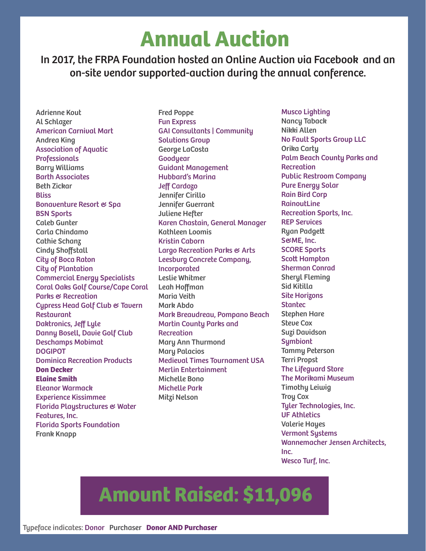### **Annual Auction**

In 2017, the FRPA Foundation hosted an Online Auction via Facebook and an on-site vendor supported-auction during the annual conference.

Adrienne Kout Al Schlazer American Carnival Mart Andrea King Association of Aquatic Professionals Barry Williams Barth Associates Beth Zickar **Bliss** Bonaventure Resort & Spa BSN Sports Caleb Gunter Carla Chindamo Cathie Schanz Cindy Shoffstall City of Boca Raton City of Plantation Commercial Energy Specialists Coral Oaks Golf Course/Cape Coral Parks & Recreation Cypress Head Golf Club & Tavern Restaurant Daktronics, Jeff Lyle Danny Bosell, Davie Golf Club Deschamps Mobimat DOGIPOT Dominica Recreation Products **Don Decker Elaine Smith** Eleanor Warmack Experience Kissimmee Florida Playstructures & Water Features, Inc. Florida Sports Foundation Frank Knapp

Fred Poppe Fun Express GAI Consultants | Community Solutions Group George LaCosta **Goodyear** Guidant Management Hubbard's Marina Jeff Cardozo Jennifer Cirillo Jennifer Guerrant Juliene Hefter Karen Chastain, General Manager Kathleen Loomis Kristin Caborn Largo Recreation Parks & Arts Leesburg Concrete Company, Incorporated Leslie Whitmer Leah Hoffman Maria Veith Mark Abdo Mark Breaudreau, Pompano Beach Martin County Parks and **Recreation** Mary Ann Thurmond Mary Palacios Medieval Times Tournament USA Merlin Entertainment Michelle Bono Michelle Park Mitzi Nelson

Musco Lighting Nancy Taback Nikki Allen No Fault Sports Group LLC Orika Carty Palm Beach County Parks and Recreation Public Restroom Company Pure Energy Solar Rain Bird Corp **RainoutLine** Recreation Sports, Inc. REP Services Ryan Padgett S&ME, Inc. SCORE Sports Scott Hampton Sherman Conrad Sheryl Fleming Sid Kitilla Site Horizons **Stantec** Stephen Hare Steve Cox Suzi Davidson **Symbiont** Tammy Peterson Terri Propst The Lifeguard Store The Morikami Museum Timothy Leiwig Troy Cox Tyler Technologies, Inc. UF Athletics Valerie Hayes Vermont Systems Wannemacher Jensen Architects, Inc. Wesco Turf, Inc.

### **Amount Raised: \$11,096**

Typeface indicates: Donor Purchaser **Donor AND Purchaser**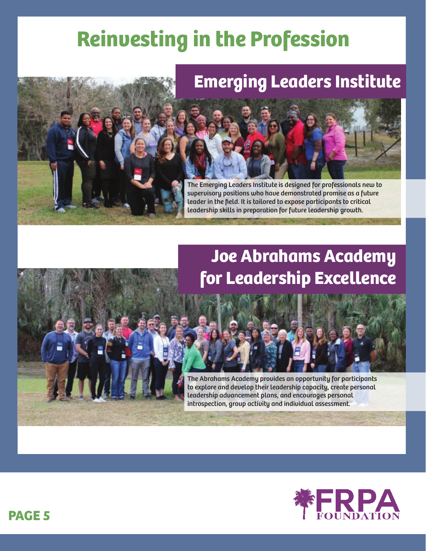# **Reinvesting in the Profession**



### **Emerging Leaders Institute**



The Emerging Leaders Institute is designed for professionals new to supervisory positions who have demonstrated promise as a future leader in the field. It is tailored to expose participants to critical leadership skills in preparation for future leadership growth.

### **Joe Abrahams Academy for Leadership Excellence**



The Abrahams Academy provides an opportunity for participants to explore and develop their leadership capacity, create personal leadership advancement plans, and encourages personal introspection, group activity and individual assessment.

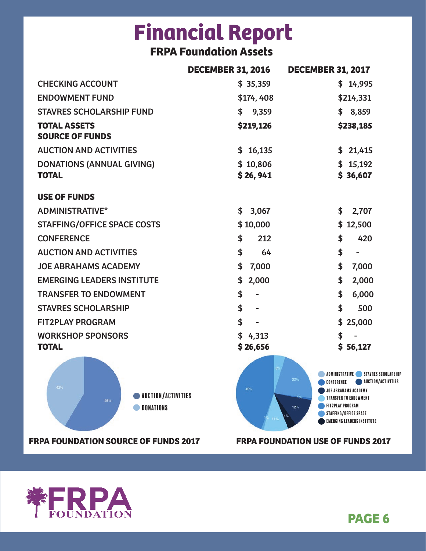# **Financial Report**

### **FRPA Foundation Assets**

|                                                             | <b>DECEMBER 31, 2016</b> | <b>DECEMBER 31, 2017</b>                                                                                                                                                                                                                            |
|-------------------------------------------------------------|--------------------------|-----------------------------------------------------------------------------------------------------------------------------------------------------------------------------------------------------------------------------------------------------|
| <b>CHECKING ACCOUNT</b>                                     | \$35,359                 | \$14,995                                                                                                                                                                                                                                            |
| <b>ENDOWMENT FUND</b>                                       | \$174,408                | \$214,331                                                                                                                                                                                                                                           |
| <b>STAVRES SCHOLARSHIP FUND</b>                             | \$9,359                  | \$8,859                                                                                                                                                                                                                                             |
| <b>TOTAL ASSETS</b><br><b>SOURCE OF FUNDS</b>               | \$219,126                | \$238,185                                                                                                                                                                                                                                           |
| <b>AUCTION AND ACTIVITIES</b>                               | \$16,135                 | \$21,415                                                                                                                                                                                                                                            |
| <b>DONATIONS (ANNUAL GIVING)</b><br><b>TOTAL</b>            | \$10,806<br>\$26,941     | \$15,192<br>\$36,607                                                                                                                                                                                                                                |
| <b>USE OF FUNDS</b>                                         |                          |                                                                                                                                                                                                                                                     |
| <b>ADMINISTRATIVE*</b>                                      | 3,067<br>\$              | 2,707<br>\$                                                                                                                                                                                                                                         |
| <b>STAFFING/OFFICE SPACE COSTS</b>                          | \$10,000                 | \$12,500                                                                                                                                                                                                                                            |
| <b>CONFERENCE</b>                                           | 212<br>\$                | \$<br>420                                                                                                                                                                                                                                           |
| <b>AUCTION AND ACTIVITIES</b>                               | \$<br>64                 | \$                                                                                                                                                                                                                                                  |
| <b>JOE ABRAHAMS ACADEMY</b>                                 | \$<br>7,000              | \$<br>7,000                                                                                                                                                                                                                                         |
| <b>EMERGING LEADERS INSTITUTE</b>                           | \$<br>2,000              | \$<br>2,000                                                                                                                                                                                                                                         |
| <b>TRANSFER TO ENDOWMENT</b>                                | \$<br>ä,                 | \$<br>6,000                                                                                                                                                                                                                                         |
| <b>STAVRES SCHOLARSHIP</b>                                  | \$                       | \$<br>500                                                                                                                                                                                                                                           |
| <b>FIT2PLAY PROGRAM</b>                                     | \$                       | \$25,000                                                                                                                                                                                                                                            |
| <b>WORKSHOP SPONSORS</b><br><b>TOTAL</b>                    | \$4,313<br>\$26,656      | \$<br>\$56,127                                                                                                                                                                                                                                      |
| 42%<br><b>AUCTION/ACTIVITIES</b><br>58%<br><b>DONATIONS</b> | 45%                      | ADMINISTRATIVE STAVRES SCHOLARSHIP<br>22%<br><b>AUCTION/ACTIVITIES</b><br>CONFERENCE<br><b>JOE ABRAHAMS ACADEMY</b><br><b>TRANSFER TO ENDOWMENT</b><br><b>FIT2PLAY PROGRAM</b><br>12%<br>STAFFING/OFFICE SPACE<br><b>EMERGING LEADERS INSTITUTE</b> |

**FRPA FOUNDATION SOURCE OF FUNDS 2017 FRPA FOUNDATION USE OF FUNDS 2017**



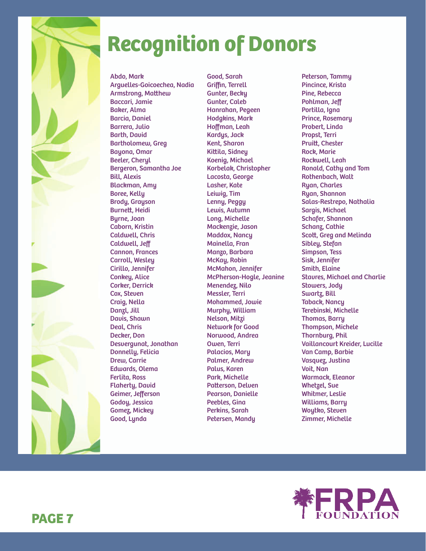

# **Recognition of Donors**

Abdo, Mark Arguelles-Goicoechea, Nadia Armstrong, Matthew Baccari, Jamie Baker, Alma Barcia, Daniel Barrera, Julio Barth, David Bartholomew, Greg Bayona, Omar Beeler, Cheryl Bergeron, Samantha Joe Bill, Alexis Blackman, Amy Boree, Kelly Brody, Grayson Burnett, Heidi Byrne, Joan Caborn, Kristin Caldwell, Chris Caldwell, Jeff Cannon, Frances Carroll, Wesley Cirillo, Jennifer Conkey, Alice Corker, Derrick Cox, Steven Craig, Nella Danzl, Jill Davis, Shawn Deal, Chris Decker, Don Desvergunat, Jonathan Donnelly, Felicia Drew, Carrie Edwards, Olema Ferlita, Ross Flaherty, David Geimer, Jefferson Godoy, Jessica Gomez, Mickey Good, Lynda

Good, Sarah Griffin, Terrell Gunter, Becky Gunter, Caleb Hanrahan, Pegeen Hodgkins, Mark Hoffman, Leah Kardys, Jack Kent, Sharon Kittila, Sidney Koenig, Michael Korbelak, Christopher Lacosta, George Lasher, Kate Leiwig, Tim Lenny, Peggy Lewis, Autumn Long, Michelle Mackenzie, Jason Maddox, Nancy Mainella, Fran Manzo, Barbara McKay, Robin McMahon, Jennifer McPherson-Hogle, Jeanine Menendez, Nilo Messler, Terri Mohammed, Jowie Murphy, William Nelson, Mitzi Network for Good Norwood, Andrea Owen, Terri Palacios, Mary Palmer, Andrew Palus, Karen Park, Michelle Patterson, Delven Pearson, Danielle Peebles, Gina Perkins, Sarah Petersen, Mandy

Peterson, Tammy Pincince, Krista Pine, Rebecca Pohlman, Jeff Portilla, Igna Prince, Rosemary Probert, Linda Propst, Terri Pruitt, Chester Rock, Marie Rockwell, Leah Ronald, Cathy and Tom Rothenbach, Walt Ryan, Charles Ryan, Shannon Salas-Restrepo, Nathalia Sargis, Michael Schafer, Shannon Schanz, Cathie Scott, Greg and Melinda Sibley, Stefan Simpson, Tess Sisk, Jennifer Smith, Elaine Stavres, Michael and Charlie Stowers, Jody Swartz, Bill Taback, Nancy Terebinski, Michelle Thomas, Barry Thompson, Michele Thornburg, Phil Vaillancourt Kreider, Lucille Van Camp, Barbie Vasquez, Justina Voit, Nan Warmack, Eleanor Whetzel, Sue Whitmer, Leslie Williams, Barry Woytko, Steven Zimmer, Michelle